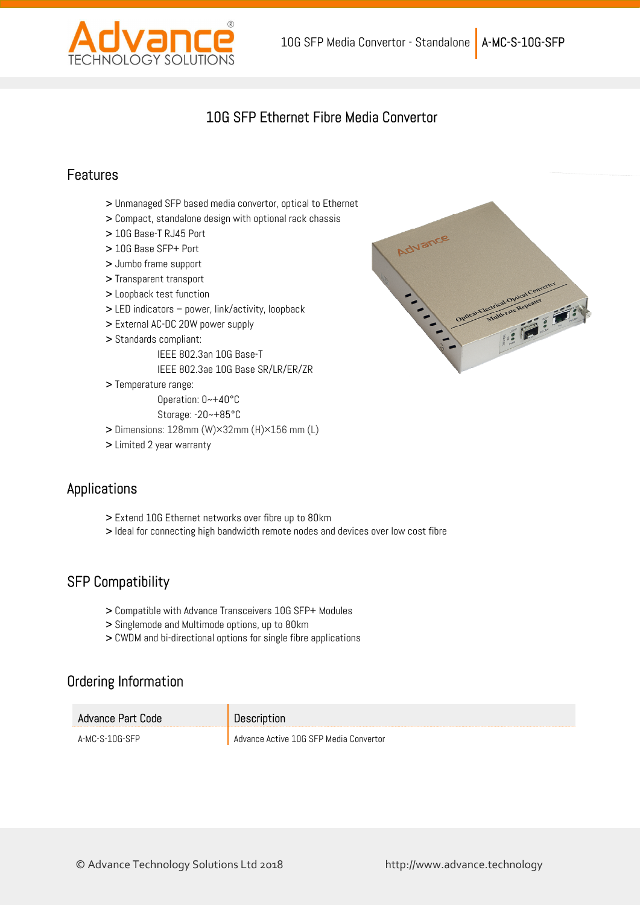

## 10G SFP Ethernet Fibre Media Convertor

#### Features

- > Unmanaged SFP based media convertor, optical to Ethernet
- > Compact, standalone design with optional rack chassis
- > 10G Base-T RJ45 Port
- > 10G Base SFP+ Port
- > Jumbo frame support
- > Transparent transport
- > Loopback test function
- > LED indicators power, link/activity, loopback
- > External AC-DC 20W power supply
- > Standards compliant:
	- IEEE 802.3an 10G Base-T
	- IEEE 802.3ae 10G Base SR/LR/ER/ZR
- > Temperature range:

Operation: 0~+40°C

- Storage: -20~+85°C > Dimensions: 128mm (W)×32mm (H)×156 mm (L)
- > Limited 2 year warranty

### Applications

- > Extend 10G Ethernet networks over fibre up to 80km
- > Ideal for connecting high bandwidth remote nodes and devices over low cost fibre

### SFP Compatibility

- > Compatible with Advance Transceivers 10G SFP+ Modules
- > Singlemode and Multimode options, up to 80km
- > CWDM and bi-directional options for single fibre applications

### Ordering Information

| Advance Part Code | Description                            |
|-------------------|----------------------------------------|
| A-MC-S-10G-SFP    | Advance Active 10G SFP Media Convertor |



© Advance Technology Solutions Ltd 2018 http://www.advance.technology